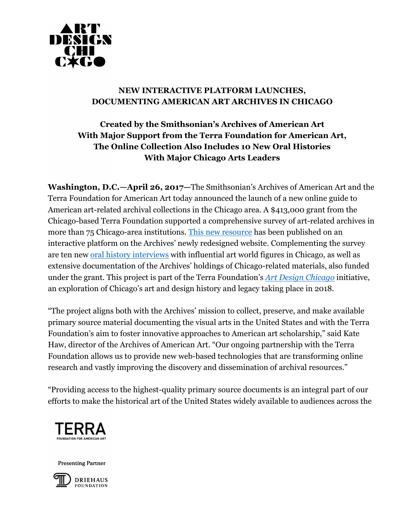

## **NEW INTERACTIVE PLATFORM LAUNCHES, DOCUMENTING AMERICAN ART ARCHIVES IN CHICAGO**

## **Created by the Smithsonian's Archives of American Art With Major Support from the Terra Foundation for American Art, The Online Collection Also Includes 10 New Oral Histories With Major Chicago Arts Leaders**

**Washington, D.C.—April 26, 2017—**The Smithsonian's Archives of American Art and the Terra Foundation for American Art today announced the launch of a new online guide to American art-related archival collections in the Chicago area. A \$413,000 grant from the Chicago-based Terra Foundation supported a comprehensive survey of art-related archives in more than 75 Chicago-area institutions. This new resource has been published on an interactive platform on the Archives' newly redesigned website. Complementing the survey are ten new oral history interviews with influential art world figures in Chicago, as well as extensive documentation of the Archives' holdings of Chicago-related materials, also funded under the grant. This project is part of the Terra Foundation's *Art Design Chicago* initiative, an exploration of Chicago's art and design history and legacy taking place in 2018.

"The project aligns both with the Archives' mission to collect, preserve, and make available primary source material documenting the visual arts in the United States and with the Terra Foundation's aim to foster innovative approaches to American art scholarship," said Kate Haw, director of the Archives of American Art. "Our ongoing partnership with the Terra Foundation allows us to provide new web-based technologies that are transforming online research and vastly improving the discovery and dissemination of archival resources."

"Providing access to the highest-quality primary source documents is an integral part of our efforts to make the historical art of the United States widely available to audiences across the



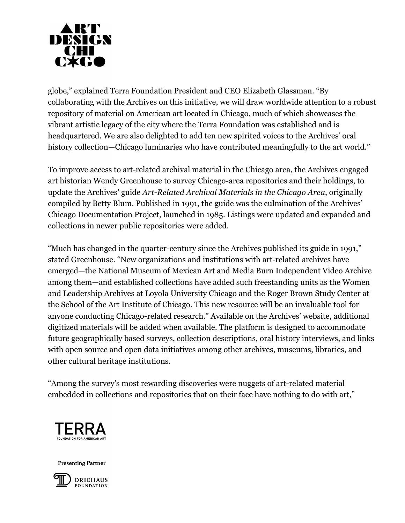

globe," explained Terra Foundation President and CEO Elizabeth Glassman. "By collaborating with the Archives on this initiative, we will draw worldwide attention to a robust repository of material on American art located in Chicago, much of which showcases the vibrant artistic legacy of the city where the Terra Foundation was established and is headquartered. We are also delighted to add ten new spirited voices to the Archives' oral history collection—Chicago luminaries who have contributed meaningfully to the art world."

To improve access to art-related archival material in the Chicago area, the Archives engaged art historian Wendy Greenhouse to survey Chicago-area repositories and their holdings, to update the Archives' guide *Art-Related Archival Materials in the Chicago Area*, originally compiled by Betty Blum. Published in 1991, the guide was the culmination of the Archives' Chicago Documentation Project, launched in 1985. Listings were updated and expanded and collections in newer public repositories were added.

"Much has changed in the quarter-century since the Archives published its guide in 1991," stated Greenhouse. "New organizations and institutions with art-related archives have emerged—the National Museum of Mexican Art and Media Burn Independent Video Archive among them—and established collections have added such freestanding units as the Women and Leadership Archives at Loyola University Chicago and the Roger Brown Study Center at the School of the Art Institute of Chicago. This new resource will be an invaluable tool for anyone conducting Chicago-related research." Available on the Archives' website, additional digitized materials will be added when available. The platform is designed to accommodate future geographically based surveys, collection descriptions, oral history interviews, and links with open source and open data initiatives among other archives, museums, libraries, and other cultural heritage institutions.

"Among the survey's most rewarding discoveries were nuggets of art-related material embedded in collections and repositories that on their face have nothing to do with art,"



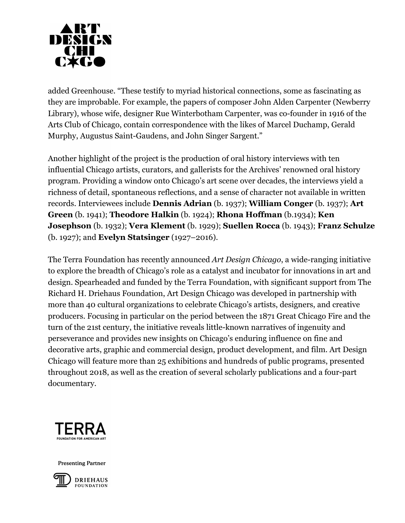

added Greenhouse. "These testify to myriad historical connections, some as fascinating as they are improbable. For example, the papers of composer John Alden Carpenter (Newberry Library), whose wife, designer Rue Winterbotham Carpenter, was co-founder in 1916 of the Arts Club of Chicago, contain correspondence with the likes of Marcel Duchamp, Gerald Murphy, Augustus Saint-Gaudens, and John Singer Sargent."

Another highlight of the project is the production of oral history interviews with ten influential Chicago artists, curators, and gallerists for the Archives' renowned oral history program. Providing a window onto Chicago's art scene over decades, the interviews yield a richness of detail, spontaneous reflections, and a sense of character not available in written records. Interviewees include **Dennis Adrian** (b. 1937); **William Conger** (b. 1937); **Art Green** (b. 1941); **Theodore Halkin** (b. 1924); **Rhona Hoffman** (b.1934); **Ken Josephson** (b. 1932); **Vera Klement** (b. 1929); **Suellen Rocca** (b. 1943); **Franz Schulze** (b. 1927); and **Evelyn Statsinger** (1927–2016).

The Terra Foundation has recently announced *Art Design Chicago*, a wide-ranging initiative to explore the breadth of Chicago's role as a catalyst and incubator for innovations in art and design. Spearheaded and funded by the Terra Foundation, with significant support from The Richard H. Driehaus Foundation, Art Design Chicago was developed in partnership with more than 40 cultural organizations to celebrate Chicago's artists, designers, and creative producers. Focusing in particular on the period between the 1871 Great Chicago Fire and the turn of the 21st century, the initiative reveals little-known narratives of ingenuity and perseverance and provides new insights on Chicago's enduring influence on fine and decorative arts, graphic and commercial design, product development, and film. Art Design Chicago will feature more than 25 exhibitions and hundreds of public programs, presented throughout 2018, as well as the creation of several scholarly publications and a four-part documentary.